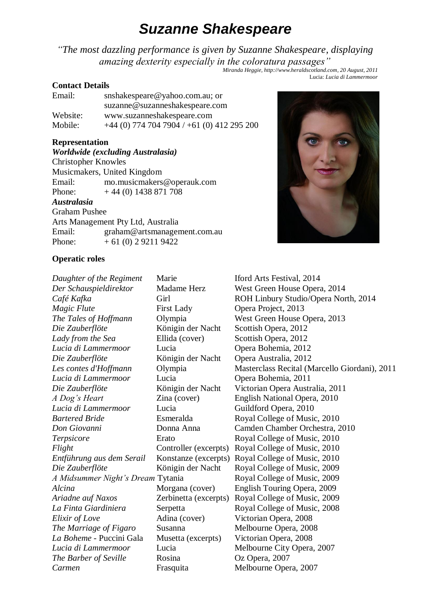# *Suzanne Shakespeare*

*"The most dazzling performance is given by Suzanne Shakespeare, displaying amazing dexterity especially in the coloratura passages"*

*Miranda Heggie, http://www.heraldscotland.com, 20 August, 2011* Lucia: *Lucia di Lammermoor*

# **Contact Details**

| Email:   | snshakespeare@yahoo.com.au; or               |  |
|----------|----------------------------------------------|--|
|          | suzanne@suzanneshakespeare.com               |  |
| Website: | www.suzanneshakespeare.com                   |  |
| Mobile:  | $+44$ (0) 774 704 7904 / +61 (0) 412 295 200 |  |

# **Representation**

*Worldwide (excluding Australasia)* Christopher Knowles Musicmakers, United Kingdom Email: mo.musicmakers@operauk.com Phone:  $+ 44 (0) 1438 871 708$ *Australasia* Graham Pushee Arts Management Pty Ltd, Australia Email: graham@artsmanagement.com.au Phone:  $+ 61 (0) 292119422$ 



# **Operatic roles**

| Daughter of the Regiment          | Marie                 | Iford Arts Festival, 2014                     |
|-----------------------------------|-----------------------|-----------------------------------------------|
| Der Schauspieldirektor            | Madame Herz           | West Green House Opera, 2014                  |
| Café Kafka                        | Girl                  | ROH Linbury Studio/Opera North, 2014          |
| Magic Flute                       | <b>First Lady</b>     | Opera Project, 2013                           |
| The Tales of Hoffmann             | Olympia               | West Green House Opera, 2013                  |
| Die Zauberflöte                   | Königin der Nacht     | Scottish Opera, 2012                          |
| Lady from the Sea                 | Ellida (cover)        | Scottish Opera, 2012                          |
| Lucia di Lammermoor               | Lucia                 | Opera Bohemia, 2012                           |
| Die Zauberflöte                   | Königin der Nacht     | Opera Australia, 2012                         |
| Les contes d'Hoffmann             | Olympia               | Masterclass Recital (Marcello Giordani), 2011 |
| Lucia di Lammermoor               | Lucia                 | Opera Bohemia, 2011                           |
| Die Zauberflöte                   | Königin der Nacht     | Victorian Opera Australia, 2011               |
| A Dog's Heart                     | Zina (cover)          | English National Opera, 2010                  |
| Lucia di Lammermoor               | Lucia                 | Guildford Opera, 2010                         |
| <b>Bartered Bride</b>             | Esmeralda             | Royal College of Music, 2010                  |
| Don Giovanni                      | Donna Anna            | Camden Chamber Orchestra, 2010                |
| Terpsicore                        | Erato                 | Royal College of Music, 2010                  |
| Flight                            | Controller (excerpts) | Royal College of Music, 2010                  |
| Entführung aus dem Serail         | Konstanze (excerpts)  | Royal College of Music, 2010                  |
| Die Zauberflöte                   | Königin der Nacht     | Royal College of Music, 2009                  |
| A Midsummer Night's Dream Tytania |                       | Royal College of Music, 2009                  |
| Alcina                            | Morgana (cover)       | English Touring Opera, 2009                   |
| Ariadne auf Naxos                 | Zerbinetta (excerpts) | Royal College of Music, 2009                  |
| La Finta Giardiniera              | Serpetta              | Royal College of Music, 2008                  |
| Elixir of Love                    | Adina (cover)         | Victorian Opera, 2008                         |
| The Marriage of Figaro            | Susanna               | Melbourne Opera, 2008                         |
| La Boheme - Puccini Gala          | Musetta (excerpts)    | Victorian Opera, 2008                         |
| Lucia di Lammermoor               | Lucia                 | Melbourne City Opera, 2007                    |
| The Barber of Seville             | Rosina                | Oz Opera, 2007                                |
| Carmen                            | Frasquita             | Melbourne Opera, 2007                         |